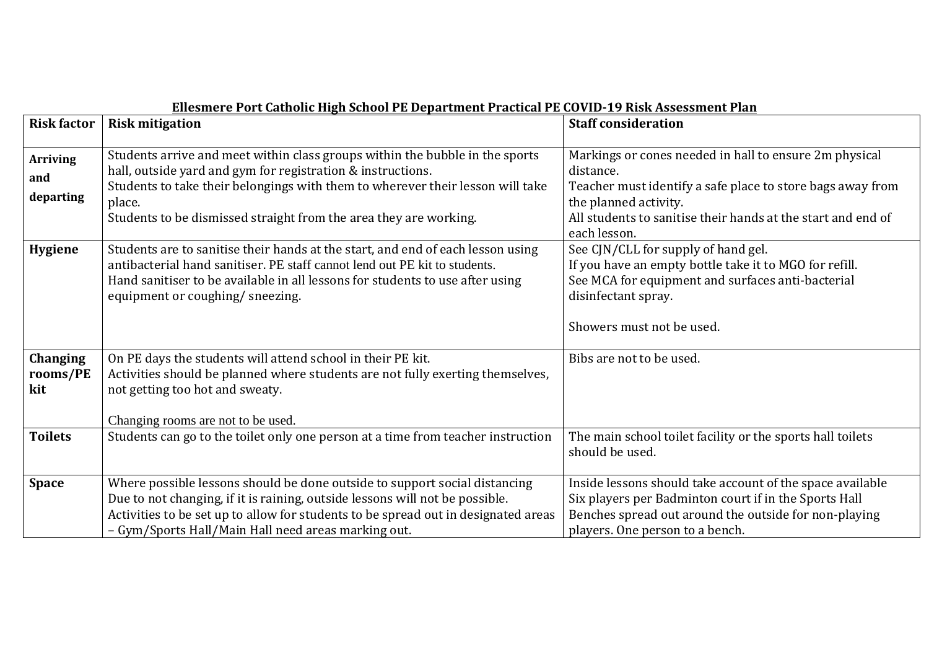| <b>Risk factor</b>                  | <u>Enconici e i vi e catholic film ochovi i li bepaltinent i lactical i li co vib "19 Rion Assessinent i lan</u>                                                                                                                                                                                             | <b>Staff consideration</b>                                                                                                                                                                                                                 |
|-------------------------------------|--------------------------------------------------------------------------------------------------------------------------------------------------------------------------------------------------------------------------------------------------------------------------------------------------------------|--------------------------------------------------------------------------------------------------------------------------------------------------------------------------------------------------------------------------------------------|
|                                     | <b>Risk mitigation</b>                                                                                                                                                                                                                                                                                       |                                                                                                                                                                                                                                            |
| <b>Arriving</b><br>and<br>departing | Students arrive and meet within class groups within the bubble in the sports<br>hall, outside yard and gym for registration & instructions.<br>Students to take their belongings with them to wherever their lesson will take<br>place.<br>Students to be dismissed straight from the area they are working. | Markings or cones needed in hall to ensure 2m physical<br>distance.<br>Teacher must identify a safe place to store bags away from<br>the planned activity.<br>All students to sanitise their hands at the start and end of<br>each lesson. |
| <b>Hygiene</b>                      | Students are to sanitise their hands at the start, and end of each lesson using<br>antibacterial hand sanitiser. PE staff cannot lend out PE kit to students.<br>Hand sanitiser to be available in all lessons for students to use after using<br>equipment or coughing/ sneezing.                           | See CJN/CLL for supply of hand gel.<br>If you have an empty bottle take it to MGO for refill.<br>See MCA for equipment and surfaces anti-bacterial<br>disinfectant spray.<br>Showers must not be used.                                     |
| Changing<br>rooms/PE<br>kit         | On PE days the students will attend school in their PE kit.<br>Activities should be planned where students are not fully exerting themselves,<br>not getting too hot and sweaty.<br>Changing rooms are not to be used.                                                                                       | Bibs are not to be used.                                                                                                                                                                                                                   |
| <b>Toilets</b>                      | Students can go to the toilet only one person at a time from teacher instruction                                                                                                                                                                                                                             | The main school toilet facility or the sports hall toilets<br>should be used.                                                                                                                                                              |
| <b>Space</b>                        | Where possible lessons should be done outside to support social distancing<br>Due to not changing, if it is raining, outside lessons will not be possible.<br>Activities to be set up to allow for students to be spread out in designated areas<br>- Gym/Sports Hall/Main Hall need areas marking out.      | Inside lessons should take account of the space available<br>Six players per Badminton court if in the Sports Hall<br>Benches spread out around the outside for non-playing<br>players. One person to a bench.                             |

## **Ellesmere Port Catholic High School PE Department Practical PE COVID-19 Risk Assessment Plan**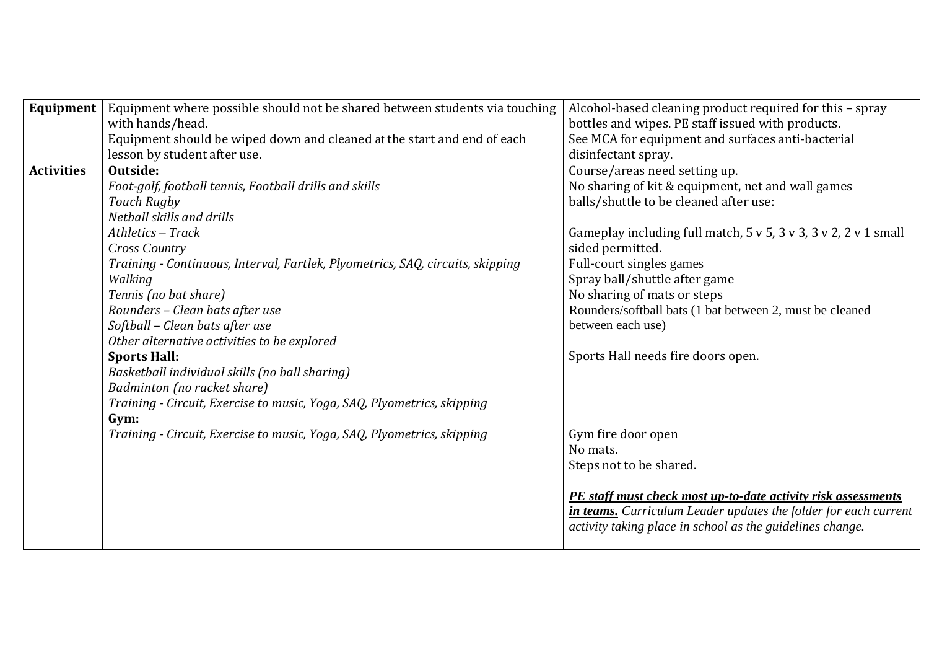| Equipment         | Equipment where possible should not be shared between students via touching    | Alcohol-based cleaning product required for this - spray        |
|-------------------|--------------------------------------------------------------------------------|-----------------------------------------------------------------|
|                   | with hands/head.                                                               | bottles and wipes. PE staff issued with products.               |
|                   | Equipment should be wiped down and cleaned at the start and end of each        | See MCA for equipment and surfaces anti-bacterial               |
|                   | lesson by student after use.                                                   | disinfectant spray.                                             |
| <b>Activities</b> | Outside:                                                                       | Course/areas need setting up.                                   |
|                   | Foot-golf, football tennis, Football drills and skills                         | No sharing of kit & equipment, net and wall games               |
|                   | Touch Rugby                                                                    | balls/shuttle to be cleaned after use:                          |
|                   | Netball skills and drills                                                      |                                                                 |
|                   | $A$ thletics - Track                                                           | Gameplay including full match, 5 v 5, 3 v 3, 3 v 2, 2 v 1 small |
|                   | <b>Cross Country</b>                                                           | sided permitted.                                                |
|                   | Training - Continuous, Interval, Fartlek, Plyometrics, SAQ, circuits, skipping | Full-court singles games                                        |
|                   | Walking                                                                        | Spray ball/shuttle after game                                   |
|                   | Tennis (no bat share)                                                          | No sharing of mats or steps                                     |
|                   | Rounders - Clean bats after use                                                | Rounders/softball bats (1 bat between 2, must be cleaned        |
|                   | Softball - Clean bats after use                                                | between each use)                                               |
|                   | Other alternative activities to be explored                                    |                                                                 |
|                   | <b>Sports Hall:</b>                                                            | Sports Hall needs fire doors open.                              |
|                   | Basketball individual skills (no ball sharing)                                 |                                                                 |
|                   | Badminton (no racket share)                                                    |                                                                 |
|                   | Training - Circuit, Exercise to music, Yoga, SAQ, Plyometrics, skipping        |                                                                 |
|                   | Gym:                                                                           |                                                                 |
|                   | Training - Circuit, Exercise to music, Yoga, SAQ, Plyometrics, skipping        | Gym fire door open                                              |
|                   |                                                                                | No mats.                                                        |
|                   |                                                                                | Steps not to be shared.                                         |
|                   |                                                                                |                                                                 |
|                   |                                                                                | PE staff must check most up-to-date activity risk assessments   |
|                   |                                                                                | in teams. Curriculum Leader updates the folder for each current |
|                   |                                                                                | activity taking place in school as the guidelines change.       |
|                   |                                                                                |                                                                 |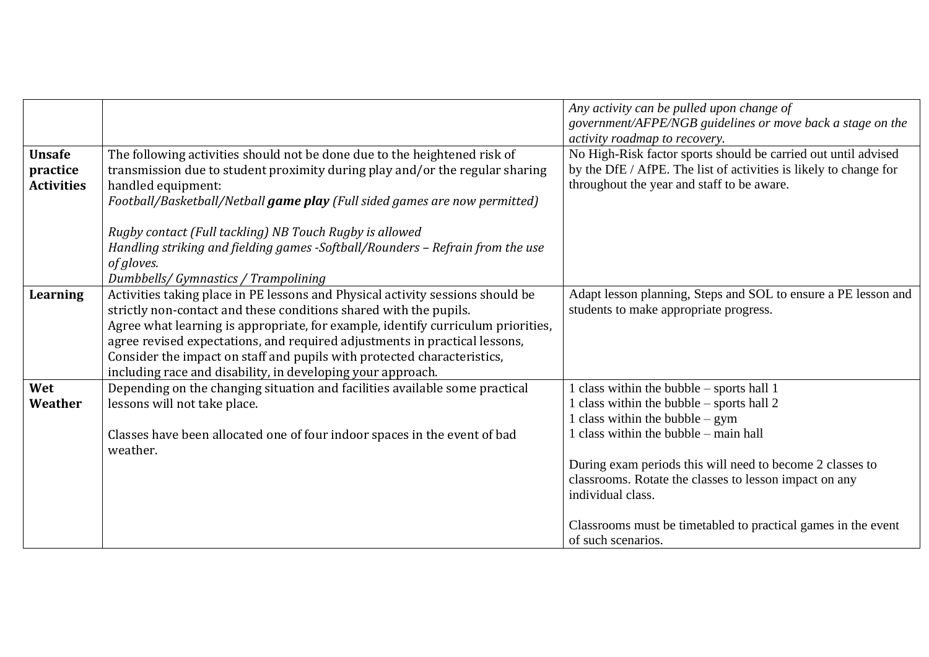|                                                |                                                                                                                                                                                                                                                                                                                                                                                                                                                                 | Any activity can be pulled upon change of<br>government/AFPE/NGB guidelines or move back a stage on the                                                                                                                                                                                                                                                                                                 |
|------------------------------------------------|-----------------------------------------------------------------------------------------------------------------------------------------------------------------------------------------------------------------------------------------------------------------------------------------------------------------------------------------------------------------------------------------------------------------------------------------------------------------|---------------------------------------------------------------------------------------------------------------------------------------------------------------------------------------------------------------------------------------------------------------------------------------------------------------------------------------------------------------------------------------------------------|
| <b>Unsafe</b><br>practice<br><b>Activities</b> | The following activities should not be done due to the heightened risk of<br>transmission due to student proximity during play and/or the regular sharing<br>handled equipment:<br>Football/Basketball/Netball game play (Full sided games are now permitted)                                                                                                                                                                                                   | activity roadmap to recovery.<br>No High-Risk factor sports should be carried out until advised<br>by the DfE / AfPE. The list of activities is likely to change for<br>throughout the year and staff to be aware.                                                                                                                                                                                      |
|                                                | Rugby contact (Full tackling) NB Touch Rugby is allowed<br>Handling striking and fielding games -Softball/Rounders - Refrain from the use<br>of gloves.<br>Dumbbells/ Gymnastics / Trampolining                                                                                                                                                                                                                                                                 |                                                                                                                                                                                                                                                                                                                                                                                                         |
| Learning                                       | Activities taking place in PE lessons and Physical activity sessions should be<br>strictly non-contact and these conditions shared with the pupils.<br>Agree what learning is appropriate, for example, identify curriculum priorities,<br>agree revised expectations, and required adjustments in practical lessons,<br>Consider the impact on staff and pupils with protected characteristics,<br>including race and disability, in developing your approach. | Adapt lesson planning, Steps and SOL to ensure a PE lesson and<br>students to make appropriate progress.                                                                                                                                                                                                                                                                                                |
| Wet<br>Weather                                 | Depending on the changing situation and facilities available some practical<br>lessons will not take place.<br>Classes have been allocated one of four indoor spaces in the event of bad<br>weather.                                                                                                                                                                                                                                                            | 1 class within the bubble – sports hall 1<br>1 class within the bubble – sports hall 2<br>1 class within the bubble $-$ gym<br>1 class within the bubble – main hall<br>During exam periods this will need to become 2 classes to<br>classrooms. Rotate the classes to lesson impact on any<br>individual class.<br>Classrooms must be timetabled to practical games in the event<br>of such scenarios. |